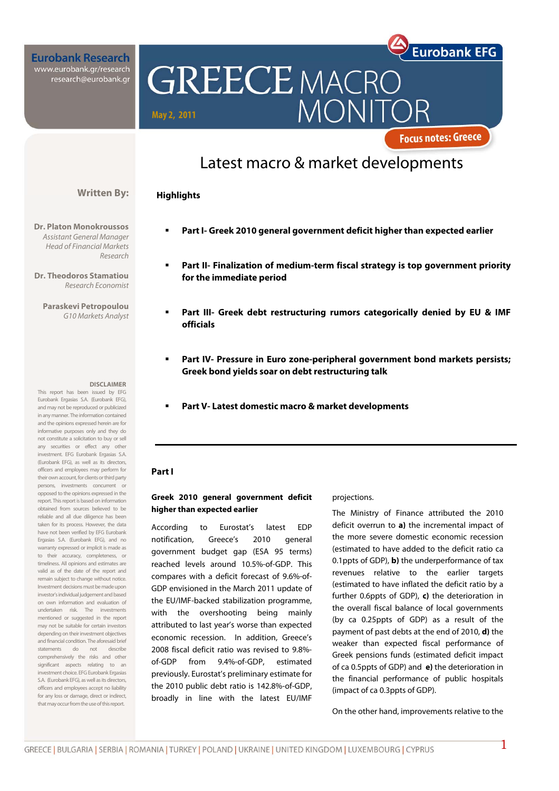**Eurobank Research** www.eurobank.gr/research<br>research@eurobank.gr



**Focus notes: Greece** 

**Eurobank EFG** 

## Latest macro & market developments

#### **Highlights**

Assistant General Manager Head of Financial Markets Research

**Written By:** 

**Dr. Theodoros Stamatiou**  Research Economist

**Paraskevi Petropoulou** 

#### **DISCLAIMER**

This report has been issued by EFG Eurobank Ergasias S.A. (Eurobank EFG), and may not be reproduced or publicized in any manner. The information contained and the opinions expressed herein are for informative purposes only and they do not constitute a solicitation to buy or sell any securities or effect any other investment. EFG Eurobank Ergasias S.A. (Eurobank EFG), as well as its directors, officers and employees may perform for their own account, for clients or third party persons, investments concurrent or opposed to the opinions expressed in the report. This report is based on information obtained from sources believed to be reliable and all due diligence has been taken for its process. However, the data have not been verified by EFG Eurobank Ergasias S.A. (Eurobank EFG), and no warranty expressed or implicit is made as to their accuracy, completeness, or timeliness. All opinions and estimates are valid as of the date of the report and remain subject to change without notice. Investment decisions must be made upon investor's individual judgement and based on own information and evaluation of undertaken risk. The investments mentioned or suggested in the report may not be suitable for certain investors depending on their investment objectives and financial condition. The aforesaid brief statements do not describe comprehensively the risks and other significant aspects relating to an investment choice. EFG Eurobank Ergasias S.A. (Eurobank EFG), as well as its directors, officers and employees accept no liability for any loss or damage, direct or indirect, that may occur from the use of this report.

- **Dr. Platon Monokroussos Part I- Greek 2010 general government deficit higher than expected earlier** 
	- **Part II- Finalization of medium-term fiscal strategy is top government priority for the immediate period**
	- G10 Markets Analyst **Part III- Greek debt restructuring rumors categorically denied by EU & IMF officials** 
		- **Part IV- Pressure in Euro zone-peripheral government bond markets persists; Greek bond yields soar on debt restructuring talk**
		- **Part V- Latest domestic macro & market developments**

#### **Part I**

#### **Greek 2010 general government deficit higher than expected earlier**

According to Eurostat's latest EDP notification, Greece's 2010 general government budget gap (ESA 95 terms) reached levels around 10.5%-of-GDP. This compares with a deficit forecast of 9.6%-of-GDP envisioned in the March 2011 update of the EU/IMF-backed stabilization programme, with the overshooting being mainly attributed to last year's worse than expected economic recession. In addition, Greece's 2008 fiscal deficit ratio was revised to 9.8% of-GDP from 9.4%-of-GDP, estimated previously. Eurostat's preliminary estimate for the 2010 public debt ratio is 142.8%-of-GDP, broadly in line with the latest EU/IMF

#### projections.

The Ministry of Finance attributed the 2010 deficit overrun to **a)** the incremental impact of the more severe domestic economic recession (estimated to have added to the deficit ratio ca 0.1ppts of GDP), **b)** the underperformance of tax revenues relative to the earlier targets (estimated to have inflated the deficit ratio by a further 0.6ppts of GDP), **c)** the deterioration in the overall fiscal balance of local governments (by ca 0.25ppts of GDP) as a result of the payment of past debts at the end of 2010, **d)** the weaker than expected fiscal performance of Greek pensions funds (estimated deficit impact of ca 0.5ppts of GDP) and **e)** the deterioration in the financial performance of public hospitals (impact of ca 0.3ppts of GDP).

On the other hand, improvements relative to the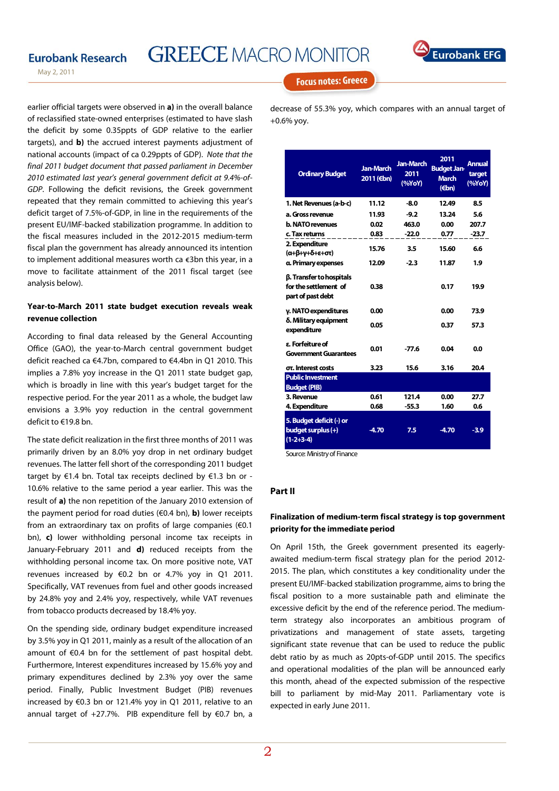# **GREECE MACRO MONITOR**



May 2, 2011

earlier official targets were observed in **a)** in the overall balance of reclassified state-owned enterprises (estimated to have slash the deficit by some 0.35ppts of GDP relative to the earlier targets), and **b)** the accrued interest payments adjustment of national accounts (impact of ca 0.29ppts of GDP). Note that the final 2011 budget document that passed parliament in December 2010 estimated last year's general government deficit at 9.4%-of-GDP. Following the deficit revisions, the Greek government repeated that they remain committed to achieving this year's deficit target of 7.5%-of-GDP, in line in the requirements of the present EU/IMF-backed stabilization programme. In addition to the fiscal measures included in the 2012-2015 medium-term fiscal plan the government has already announced its intention to implement additional measures worth ca €3bn this year, in a move to facilitate attainment of the 2011 fiscal target (see analysis below).

#### **Year-to-March 2011 state budget execution reveals weak revenue collection**

According to final data released by the General Accounting Office (GAO), the year-to-March central government budget deficit reached ca €4.7bn, compared to €4.4bn in Q1 2010. This implies a 7.8% yoy increase in the Q1 2011 state budget gap, which is broadly in line with this year's budget target for the respective period. For the year 2011 as a whole, the budget law envisions a 3.9% yoy reduction in the central government deficit to €19.8 bn.

The state deficit realization in the first three months of 2011 was primarily driven by an 8.0% yoy drop in net ordinary budget revenues. The latter fell short of the corresponding 2011 budget target by €1.4 bn. Total tax receipts declined by €1.3 bn or - 10.6% relative to the same period a year earlier. This was the result of **a)** the non repetition of the January 2010 extension of the payment period for road duties (€0.4 bn), **b)** lower receipts from an extraordinary tax on profits of large companies (€0.1 bn), **c)** lower withholding personal income tax receipts in January-February 2011 and **d)** reduced receipts from the withholding personal income tax. On more positive note, VAT revenues increased by €0.2 bn or 4.7% yoy in Q1 2011. Specifically, VAT revenues from fuel and other goods increased by 24.8% yoy and 2.4% yoy, respectively, while VAT revenues from tobacco products decreased by 18.4% yoy.

On the spending side, ordinary budget expenditure increased by 3.5% yoy in Q1 2011, mainly as a result of the allocation of an amount of €0.4 bn for the settlement of past hospital debt. Furthermore, Interest expenditures increased by 15.6% yoy and primary expenditures declined by 2.3% yoy over the same period. Finally, Public Investment Budget (PIB) revenues increased by €0.3 bn or 121.4% yoy in Q1 2011, relative to an annual target of +27.7%. PIB expenditure fell by €0.7 bn, a

**Focus notes: Greece** 

decrease of 55.3% yoy, which compares with an annual target of +0.6% yoy.

| <b>Ordinary Budget</b>                                                 | <b>Jan-March</b><br>2011 (€bn) | <b>Jan-March</b><br>2011<br>(%YoY) | 2011<br><b>Budget Jan-</b><br><b>March</b><br>$(\epsilon$ bn) | <b>Annual</b><br>target<br>(%YoY) |
|------------------------------------------------------------------------|--------------------------------|------------------------------------|---------------------------------------------------------------|-----------------------------------|
| 1. Net Revenues (a-b-c)                                                | 11.12                          | -8.0                               | 12.49                                                         | 8.5                               |
| a. Gross revenue                                                       | 11.93                          | $-9.2$                             | 13.24                                                         | 5.6                               |
| <b>b. NATO revenues</b>                                                | 0.02                           | 463.0                              | 0.00                                                          | 207.7                             |
| c. Tax returns                                                         | 0.83                           | $-22.0$                            | 0.77                                                          | $-23.7$                           |
| 2. Expenditure<br>(α+β+γ+δ+ε+στ)                                       | 15.76                          | 3.5                                | 15.60                                                         | 6.6                               |
| a. Primary expenses                                                    | 12.09                          | $-2.3$                             | 11.87                                                         | 1.9                               |
| β. Transfer to hospitals<br>for the settlement of<br>part of past debt | 0.38                           |                                    | 0.17                                                          | 19.9                              |
| y. NATO expenditures                                                   | 0.00                           |                                    | 0.00                                                          | 73.9                              |
| δ. Military equipment<br>expenditure                                   | 0.05                           |                                    | 0.37                                                          | 57.3                              |
| ε. Forfeiture of<br><b>Government Guarantees</b>                       | 0.01                           | $-77.6$                            | 0.04                                                          | 0.0                               |
| στ. Interest costs                                                     | 3.23                           | 15.6                               | 3.16                                                          | 20.4                              |
| <b>Public Investment</b><br><b>Budget (PIB)</b>                        |                                |                                    |                                                               |                                   |
| 3. Revenue                                                             | 0.61                           | 121.4                              | 0.00                                                          | 27.7                              |
| 4. Expenditure                                                         | 0.68                           | $-55.3$                            | 1.60                                                          | 0.6                               |
| 5. Budget deficit (-) or<br>budget surplus (+)<br>$(1-2+3-4)$          | $-4.70$                        | 7.5                                | $-4.70$                                                       | $-3.9$                            |

Source: Ministry of Finance

#### **art II P**

#### **inalization of medium-term fiscal strategy is top government F priority for the immediate period**

On April 15th, the Greek government presented its eagerlyawaited medium-term fiscal strategy plan for the period 2012- 2015. The plan, which constitutes a key conditionality under the present EU/IMF-backed stabilization programme, aims to bring the fiscal position to a more sustainable path and eliminate the excessive deficit by the end of the reference period. The mediumterm strategy also incorporates an ambitious program of privatizations and management of state assets, targeting significant state revenue that can be used to reduce the public debt ratio by as much as 20pts-of-GDP until 2015. The specifics and operational modalities of the plan will be announced early this month, ahead of the expected submission of the respective bill to parliament by mid-May 2011. Parliamentary vote is expected in early June 2011.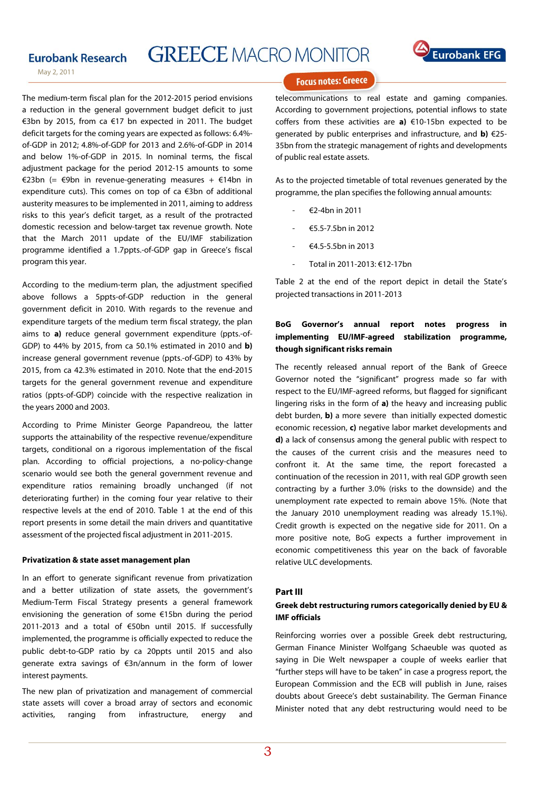# **GREECE MACRO MONITOR**



May 2, 2011

The medium-term fiscal plan for the 2012-2015 period envisions a reduction in the general government budget deficit to just €3bn by 2015, from ca €17 bn expected in 2011. The budget deficit targets for the coming years are expected as follows: 6.4% of-GDP in 2012; 4.8%-of-GDP for 2013 and 2.6%-of-GDP in 2014 and below 1%-of-GDP in 2015. In nominal terms, the fiscal adjustment package for the period 2012-15 amounts to some €23bn (= €9bn in revenue-generating measures + €14bn in expenditure cuts). This comes on top of ca €3bn of additional austerity measures to be implemented in 2011, aiming to address risks to this year's deficit target, as a result of the protracted domestic recession and below-target tax revenue growth. Note that the March 2011 update of the EU/IMF stabilization programme identified a 1.7ppts.-of-GDP gap in Greece's fiscal program this year.

According to the medium-term plan, the adjustment specified above follows a 5ppts-of-GDP reduction in the general government deficit in 2010. With regards to the revenue and expenditure targets of the medium term fiscal strategy, the plan aims to **a)** reduce general government expenditure (ppts.-of-GDP) to 44% by 2015, from ca 50.1% estimated in 2010 and **b)** increase general government revenue (ppts.-of-GDP) to 43% by 2015, from ca 42.3% estimated in 2010. Note that the end-2015 targets for the general government revenue and expenditure ratios (ppts-of-GDP) coincide with the respective realization in the years 2000 and 2003.

According to Prime Minister George Papandreou, the latter supports the attainability of the respective revenue/expenditure targets, conditional on a rigorous implementation of the fiscal plan. According to official projections, a no-policy-change scenario would see both the general government revenue and expenditure ratios remaining broadly unchanged (if not deteriorating further) in the coming four year relative to their respective levels at the end of 2010. Table 1 at the end of this report presents in some detail the main drivers and quantitative assessment of the projected fiscal adjustment in 2011-2015.

#### **Privatization & state asset management plan**

In an effort to generate significant revenue from privatization and a better utilization of state assets, the government's Medium-Term Fiscal Strategy presents a general framework envisioning the generation of some €15bn during the period 2011-2013 and a total of €50bn until 2015. If successfully implemented, the programme is officially expected to reduce the public debt-to-GDP ratio by ca 20ppts until 2015 and also generate extra savings of €3n/annum in the form of lower interest payments.

The new plan of privatization and management of commercial state assets will cover a broad array of sectors and economic activities, ranging from infrastructure, energy and

## **Focus notes: Greece**

telecommunications to real estate and gaming companies. According to government projections, potential inflows to state coffers from these activities are **a)** €10-15bn expected to be generated by public enterprises and infrastructure, and **b)** €25- 35bn from the strategic management of rights and developments of public real estate assets.

As to the projected timetable of total revenues generated by the programme, the plan specifies the following annual amounts:

- €2-4bn in 2011
- €5.5-7.5bn in 2012
- $64.5 5.5$  hn in 2013
- Total in 2011-2013: €12-17bn

Table 2 at the end of the report depict in detail the State's projected transactions in 2011-2013

### **BoG Governor's annual report notes progress in implementing EU/IMF-agreed stabilization programme, though significant risks remain**

The recently released annual report of the Bank of Greece Governor noted the "significant" progress made so far with respect to the EU/IMF-agreed reforms, but flagged for significant lingering risks in the form of **a)** the heavy and increasing public debt burden, **b)** a more severe than initially expected domestic economic recession, **c)** negative labor market developments and **d)** a lack of consensus among the general public with respect to the causes of the current crisis and the measures need to confront it. At the same time, the report forecasted a continuation of the recession in 2011, with real GDP growth seen contracting by a further 3.0% (risks to the downside) and the unemployment rate expected to remain above 15%. (Note that the January 2010 unemployment reading was already 15.1%). Credit growth is expected on the negative side for 2011. On a more positive note, BoG expects a further improvement in economic competitiveness this year on the back of favorable relative ULC developments.

#### **Part III**

#### **Greek debt restructuring rumors categorically denied by EU & IMF officials**

Reinforcing worries over a possible Greek debt restructuring, German Finance Minister Wolfgang Schaeuble was quoted as saying in Die Welt newspaper a couple of weeks earlier that "further steps will have to be taken" in case a progress report, the European Commission and the ECB will publish in June, raises doubts about Greece's debt sustainability. The German Finance Minister noted that any debt restructuring would need to be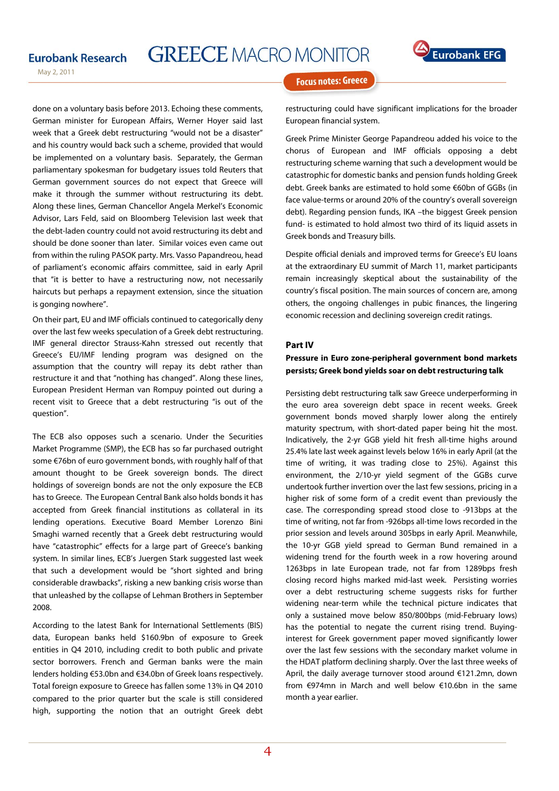# **GREECE MACRO MONITOR**



May 2, 2011

 done on a voluntary basis before 2013. Echoing these comments, German minister for European Affairs, Werner Hoyer said last week that a Greek debt restructuring "would not be a disaster" and his country would back such a scheme, provided that would be implemented on a voluntary basis. Separately, the German parliamentary spokesman for budgetary issues told Reuters that German government sources do not expect that Greece will make it through the summer without restructuring its debt. Along these lines, German Chancellor Angela Merkel's Economic Advisor, Lars Feld, said on Bloomberg Television last week that the debt-laden country could not avoid restructuring its debt and should be done sooner than later. Similar voices even came out from within the ruling PASOK party. Mrs. Vasso Papandreou, head of parliament's economic affairs committee, said in early April that "it is better to have a restructuring now, not necessarily haircuts but perhaps a repayment extension, since the situation is gonging nowhere".

On their part, EU and IMF officials continued to categorically deny over the last few weeks speculation of a Greek debt restructuring. IMF general director Strauss-Kahn stressed out recently that Greece's EU/IMF lending program was designed on the assumption that the country will repay its debt rather than restructure it and that "nothing has changed". Along these lines, European President Herman van Rompuy pointed out during a recent visit to Greece that a debt restructuring "is out of the question".

The ECB also opposes such a scenario. Under the Securities Market Programme (SMP), the ECB has so far purchased outright some €76bn of euro government bonds, with roughly half of that amount thought to be Greek sovereign bonds. The direct holdings of sovereign bonds are not the only exposure the ECB has to Greece. The European Central Bank also holds bonds it has accepted from Greek financial institutions as collateral in its lending operations. Executive Board Member Lorenzo Bini Smaghi warned recently that a Greek debt restructuring would have "catastrophic" effects for a large part of Greece's banking system. In similar lines, ECB's Juergen Stark suggested last week that such a development would be "short sighted and bring considerable drawbacks", risking a new banking crisis worse than that unleashed by the collapse of Lehman Brothers in September 2008.

According to the latest Bank for International Settlements (BIS) data, European banks held \$160.9bn of exposure to Greek entities in Q4 2010, including credit to both public and private sector borrowers. French and German banks were the main lenders holding €53.0bn and €34.0bn of Greek loans respectively. Total foreign exposure to Greece has fallen some 13% in Q4 2010 compared to the prior quarter but the scale is still considered high, supporting the notion that an outright Greek debt

#### **Focus notes: Greece**

restructuring could have significant implications for the broader European financial system.

Greek Prime Minister George Papandreou added his voice to the chorus of European and IMF officials opposing a debt restructuring scheme warning that such a development would be catastrophic for domestic banks and pension funds holding Greek debt. Greek banks are estimated to hold some €60bn of GGBs (in face value-terms or around 20% of the country's overall sovereign debt). Regarding pension funds, IKA –the biggest Greek pension fund- is estimated to hold almost two third of its liquid assets in Greek bonds and Treasury bills.

Despite official denials and improved terms for Greece's EU loans at the extraordinary EU summit of March 11, market participants remain increasingly skeptical about the sustainability of the country's fiscal position. The main sources of concern are, among others, the ongoing challenges in pubic finances, the lingering economic recession and declining sovereign credit ratings.

#### **Part IV**

#### **Pressure in Euro zone-peripheral government bond markets Greek bond yields soar on debt restructuring talk persists;**

Persisting debt restructuring talk saw Greece underperforming in the euro area sovereign debt space in recent weeks. Greek government bonds moved sharply lower along the entirely maturity spectrum, with short-dated paper being hit the most. Indicatively, the 2-yr GGB yield hit fresh all-time highs around 25.4% late last week against levels below 16% in early April (at the time of writing, it was trading close to 25%). Against this environment, the 2/10-yr yield segment of the GGBs curve undertook further invertion over the last few sessions, pricing in a higher risk of some form of a credit event than previously the case. The corresponding spread stood close to -913bps at the time of writing, not far from -926bps all-time lows recorded in the prior session and levels around 305bps in early April. Meanwhile, the 10-yr GGB yield spread to German Bund remained in a widening trend for the fourth week in a row hovering around 1263bps in late European trade, not far from 1289bps fresh closing record highs marked mid-last week. Persisting worries over a debt restructuring scheme suggests risks for further widening near-term while the technical picture indicates that only a sustained move below 850/800bps (mid-February lows) has the potential to negate the current rising trend. Buyinginterest for Greek government paper moved significantly lower over the last few sessions with the secondary market volume in the HDAT platform declining sharply. Over the last three weeks of April, the daily average turnover stood around €121.2mn, down from €974mn in March and well below €10.6bn in the same month a year earlier.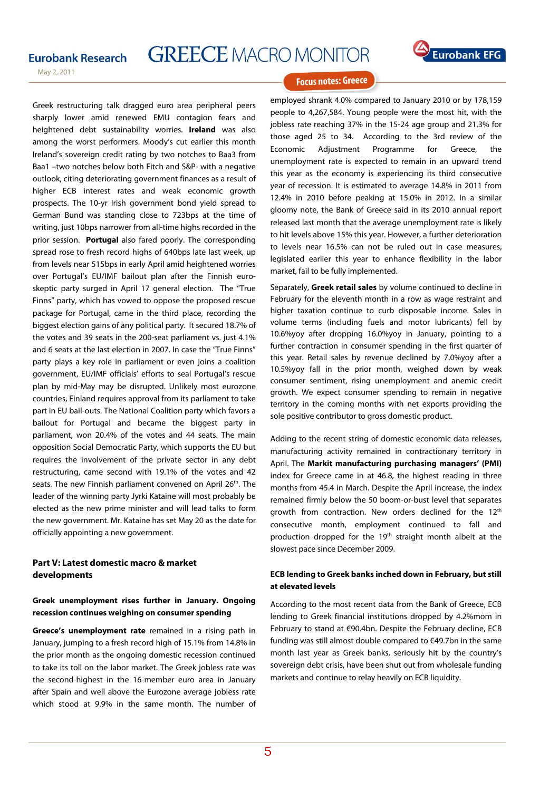## **GREECE MACRO MONITOR**



May 2, 2011

Greek restructuring talk dragged euro area peripheral peers sharply lower amid renewed EMU contagion fears and heightened debt sustainability worries. **Ireland** was also among the worst performers. Moody's cut earlier this month Ireland's sovereign credit rating by two notches to Baa3 from Baa1 –two notches below both Fitch and S&P- with a negative outlook, citing deteriorating government finances as a result of higher ECB interest rates and weak economic growth prospects. The 10-yr Irish government bond yield spread to German Bund was standing close to 723bps at the time of writing, just 10bps narrower from all-time highs recorded in the prior session. **Portugal** also fared poorly. The corresponding spread rose to fresh record highs of 640bps late last week, up from levels near 515bps in early April amid heightened worries over Portugal's EU/IMF bailout plan after the Finnish euroskeptic party surged in April 17 general election. The "True Finns" party, which has vowed to oppose the proposed rescue package for Portugal, came in the third place, recording the biggest election gains of any political party. It secured 18.7% of the votes and 39 seats in the 200-seat parliament vs. just 4.1% and 6 seats at the last election in 2007. In case the "True Finns" party plays a key role in parliament or even joins a coalition government, EU/IMF officials' efforts to seal Portugal's rescue plan by mid-May may be disrupted. Unlikely most eurozone countries, Finland requires approval from its parliament to take part in EU bail-outs. The National Coalition party which favors a bailout for Portugal and became the biggest party in parliament, won 20.4% of the votes and 44 seats. The main opposition Social Democratic Party, which supports the EU but requires the involvement of the private sector in any debt restructuring, came second with 19.1% of the votes and 42 seats. The new Finnish parliament convened on April 26<sup>th</sup>. The leader of the winning party Jyrki Kataine will most probably be elected as the new prime minister and will lead talks to form the new government. Mr. Kataine has set May 20 as the date for officially appointing a new government.

#### **Part V: Latest domestic macro & market developments**

#### **reek unemployment rises further in January. Ongoing G recession continues weighing on consumer spending**

**Greece's unemployment rate** remained in a rising path in January, jumping to a fresh record high of 15.1% from 14.8% in the prior month as the ongoing domestic recession continued to take its toll on the labor market. The Greek jobless rate was the second-highest in the 16-member euro area in January after Spain and well above the Eurozone average jobless rate which stood at 9.9% in the same month. The number of

**Focus notes: Greece** 

employed shrank 4.0% compared to January 2010 or by 178,159 people to 4,267,584. Young people were the most hit, with the jobless rate reaching 37% in the 15-24 age group and 21.3% for those aged 25 to 34. According to the 3rd review of the Economic Adjustment Programme for Greece, the unemployment rate is expected to remain in an upward trend this year as the economy is experiencing its third consecutive year of recession. It is estimated to average 14.8% in 2011 from 12.4% in 2010 before peaking at 15.0% in 2012. In a similar gloomy note, the Bank of Greece said in its 2010 annual report released last month that the average unemployment rate is likely to hit levels above 15% this year. However, a further deterioration to levels near 16.5% can not be ruled out in case measures, legislated earlier this year to enhance flexibility in the labor market, fail to be fully implemented.

Separately, **Greek retail sales** by volume continued to decline in February for the eleventh month in a row as wage restraint and higher taxation continue to curb disposable income. Sales in volume terms (including fuels and motor lubricants) fell by 10.6%yoy after dropping 16.0%yoy in January, pointing to a further contraction in consumer spending in the first quarter of this year. Retail sales by revenue declined by 7.0%yoy after a 10.5%yoy fall in the prior month, weighed down by weak consumer sentiment, rising unemployment and anemic credit growth. We expect consumer spending to remain in negative territory in the coming months with net exports providing the sole positive contributor to gross domestic product.

Adding to the recent string of domestic economic data releases, manufacturing activity remained in contractionary territory in April. The **Markit manufacturing purchasing managers' (PMI)**  index for Greece came in at 46.8, the highest reading in three months from 45.4 in March. Despite the April increase, the index remained firmly below the 50 boom-or-bust level that separates growth from contraction. New orders declined for the 12<sup>th</sup> consecutive month, employment continued to fall and production dropped for the 19<sup>th</sup> straight month albeit at the slowest pace since December 2009.

#### **CB lending to Greek banks inched down in February, but still E at elevated levels**

According to the most recent data from the Bank of Greece, ECB lending to Greek financial institutions dropped by 4.2%mom in February to stand at €90.4bn. Despite the February decline, ECB funding was still almost double compared to €49.7bn in the same month last year as Greek banks, seriously hit by the country's sovereign debt crisis, have been shut out from wholesale funding markets and continue to relay heavily on ECB liquidity.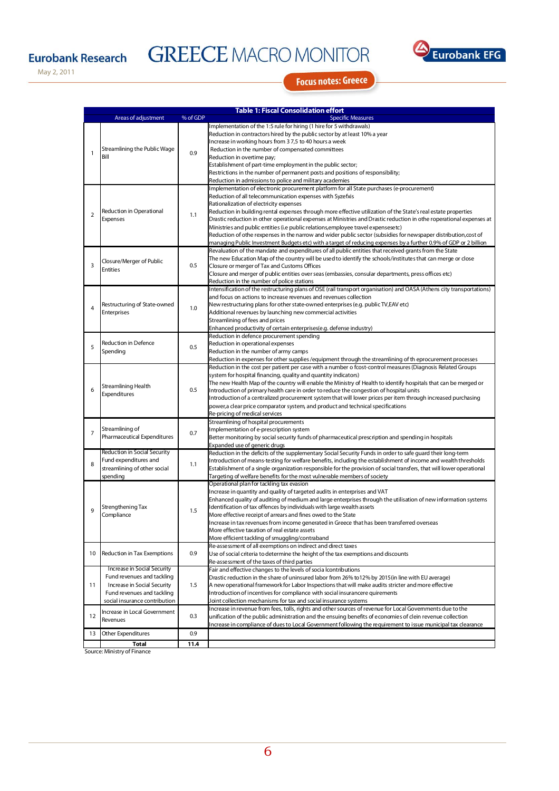# **GREECE MACRO MONITOR**



May 2, 2011

**Focus notes: Greece** 

|                | <b>Table 1: Fiscal Consolidation effort</b> |          |                                                                                                                                                       |  |  |  |
|----------------|---------------------------------------------|----------|-------------------------------------------------------------------------------------------------------------------------------------------------------|--|--|--|
|                | Areas of adjustment                         | % of GDP | <b>Specific Measures</b>                                                                                                                              |  |  |  |
|                |                                             |          | Implementation of the 1:5 rule for hiring (1 hire for 5 withdrawals)                                                                                  |  |  |  |
|                |                                             |          | Reduction in contractors hired by the public sector by at least 10% a year                                                                            |  |  |  |
|                |                                             |          | Increase in working hours from 37,5 to 40 hours a week                                                                                                |  |  |  |
| $\mathbf{1}$   | Streamlining the Public Wage                | 0.9      | Reduction in the number of compensated committees                                                                                                     |  |  |  |
|                | Bill                                        |          | Reduction in overtime pay;                                                                                                                            |  |  |  |
|                |                                             |          | Establishment of part-time employment in the public sector;                                                                                           |  |  |  |
|                |                                             |          | Restrictions in the number of permanent posts and positions of responsibility;                                                                        |  |  |  |
|                |                                             |          | Reduction in admissions to police and military academies<br>Implementation of electronic procurement platform for all State purchases (e-procurement) |  |  |  |
|                |                                             |          | Reduction of all telecommunication expenses with Syzefxis                                                                                             |  |  |  |
|                |                                             |          | Rationalization of electricity expenses                                                                                                               |  |  |  |
|                | Reduction in Operational<br>Expenses        |          | Reduction in building rental expenses through more effective utilization of the State's real estate properties                                        |  |  |  |
| $\overline{2}$ |                                             | 1.1      | Drastic reduction in other operational expenses at Ministries and Drastic reduction in othe roperational expenses at                                  |  |  |  |
|                |                                             |          | Ministries and public entities (i.e public relations, employee travel expensesetc)                                                                    |  |  |  |
|                |                                             |          | Reduction of othe rexpenses in the narrow and wider public sector (subsidies for newspaper distribution, cost of                                      |  |  |  |
|                |                                             |          | managing Public Investment Budgets etc) with a target of reducing expenses by a further 0.9% of GDP or 2 billion                                      |  |  |  |
|                |                                             |          | Revaluation of the mandate and expenditures of all public entities that received grants from the State                                                |  |  |  |
|                | Closure/Merger of Public                    |          | The new Education Map of the country will be used to identify the schools/institutes that can merge or close                                          |  |  |  |
| 3              | <b>Entities</b>                             | 0.5      | Closure or merger of Tax and Customs Offices                                                                                                          |  |  |  |
|                |                                             |          | (Closure and merger of public entities over seas (embassies, consular departments, press offices etc                                                  |  |  |  |
|                |                                             |          | Reduction in the number of police stations                                                                                                            |  |  |  |
|                |                                             |          | Intensification of the restructuring plans of OSE (rail transport organisation) and OASA (Athens city transportations)                                |  |  |  |
|                |                                             |          | and focus on actions to increase revenues and revenues collection                                                                                     |  |  |  |
| $\overline{4}$ | Restructuring of State-owned                | 1.0      | New restructuring plans for other state-owned enterprises (e.g. public TV,EAV etc)                                                                    |  |  |  |
|                | Enterprises                                 |          | Additional revenues by launching new commercial activities                                                                                            |  |  |  |
|                |                                             |          | Streamlining of fees and prices<br>Enhanced productivity of certain enterprises(e.g. defense industry)                                                |  |  |  |
|                |                                             |          | Reduction in defence procurement spending                                                                                                             |  |  |  |
|                | Reduction in Defence                        | 0.5      | Reduction in operational expenses                                                                                                                     |  |  |  |
| 5              | Spending                                    |          | Reduction in the number of army camps                                                                                                                 |  |  |  |
|                |                                             |          | Reduction in expenses for other supplies /equipment through the streamlining of th eprocurement processes                                             |  |  |  |
|                |                                             |          | Reduction in the cost per patient per case with a number o fcost-control measures (Diagnosis Related Groups                                           |  |  |  |
|                |                                             |          | system for hospital financing, quality and quantity indicators)                                                                                       |  |  |  |
|                | Streamlining Health                         |          | The new Health Map of the country will enable the Ministry of Health to identify hospitals that can be merged or                                      |  |  |  |
| 6              | Expenditures                                | 0.5      | Introduction of primary health care in order to reduce the congestion of hospital units                                                               |  |  |  |
|                |                                             |          | Introduction of a centralized procurement system that will lower prices per item through increased purchasing                                         |  |  |  |
|                |                                             |          | power,a clear price comparator system, and product and technical specifications                                                                       |  |  |  |
|                |                                             |          | Re-pricing of medical services                                                                                                                        |  |  |  |
|                | Streamlining of                             |          | Streamlining of hospital procurements                                                                                                                 |  |  |  |
| $\overline{7}$ | Pharmaceutical Expenditures                 | 0.7      | Implementation of e-prescription system                                                                                                               |  |  |  |
|                |                                             |          | Better monitoring by social security funds of pharmaceutical prescription and spending in hospitals<br>Expanded use of generic drugs                  |  |  |  |
|                | Reduction in Social Security                |          | Reduction in the deficits of the supplementary Social Security Funds in order to safe guard their long-term                                           |  |  |  |
|                | Fund expenditures and                       |          | Introduction of means-testing for welfare benefits, including the establishment of income and wealth thresholds                                       |  |  |  |
| 8              | streamlining of other social                | 1.1      | Establishment of a single organization responsible for the provision of social transfers, that will lower operational                                 |  |  |  |
|                | spending                                    |          | Targeting of welfare benefits for the most vulnerable members of society                                                                              |  |  |  |
|                |                                             |          | Operational plan for tackling tax evasion                                                                                                             |  |  |  |
|                |                                             | 1.5      | Increase in quantity and quality of targeted audits in enterprises and VAT                                                                            |  |  |  |
|                |                                             |          | Enhanced quality of auditing of medium and large enterprises through the utilisation of new information systems                                       |  |  |  |
| 9              | Strengthening Tax                           |          | Identification of tax offences by individuals with large wealth assets                                                                                |  |  |  |
|                | Compliance                                  |          | More effective receipt of arrears and fines owed to the State                                                                                         |  |  |  |
|                |                                             |          | Increase in tax revenues from income generated in Greece that has been transferred overseas                                                           |  |  |  |
|                |                                             |          | More effective taxation of real estate assets                                                                                                         |  |  |  |
|                |                                             |          | More efficient tackling of smuggling/contraband                                                                                                       |  |  |  |
| 10             | Reduction in Tax Exemptions                 | 0.9      | Re-assessment of all exemptions on indirect and direct taxes<br>Use of social criteria to determine the height of the tax exemptions and discounts    |  |  |  |
|                |                                             |          | Re-assessment of the taxes of third parties                                                                                                           |  |  |  |
|                | Increase in Social Security                 |          | Fair and effective changes to the levels of socia lcontributions                                                                                      |  |  |  |
|                | Fund revenues and tackling                  |          | Drastic reduction in the share of uninsured labor from 26% to 12% by 2015(in line with EU average)                                                    |  |  |  |
| 11             | Increase in Social Security                 | 1.5      | A new operational framework for Labor Inspections that will make audits stricter and more effective                                                   |  |  |  |
|                | Fund revenues and tackling                  |          | Introduction of incentives for compliance with social insurancere quirements                                                                          |  |  |  |
|                | social insurance contribution               |          | Joint collection mechanisms for tax and social insurance systems                                                                                      |  |  |  |
|                |                                             |          | Increase in revenue from fees, tolls, rights and other sources of revenue for Local Governments due to the                                            |  |  |  |
| 12             | Increase in Local Government<br>Revenues    | 0.3      | unification of the public administration and the ensuing benefits of economies of clein revenue collection                                            |  |  |  |
|                |                                             |          | Increase in compliance of dues to Local Government following the requirement to issue municipal tax clearance                                         |  |  |  |
| 13             | Other Expenditures                          | 0.9      |                                                                                                                                                       |  |  |  |
|                | $T0$ tal                                    | 11.4     |                                                                                                                                                       |  |  |  |

**Total 11.4** Source: Ministry of Finance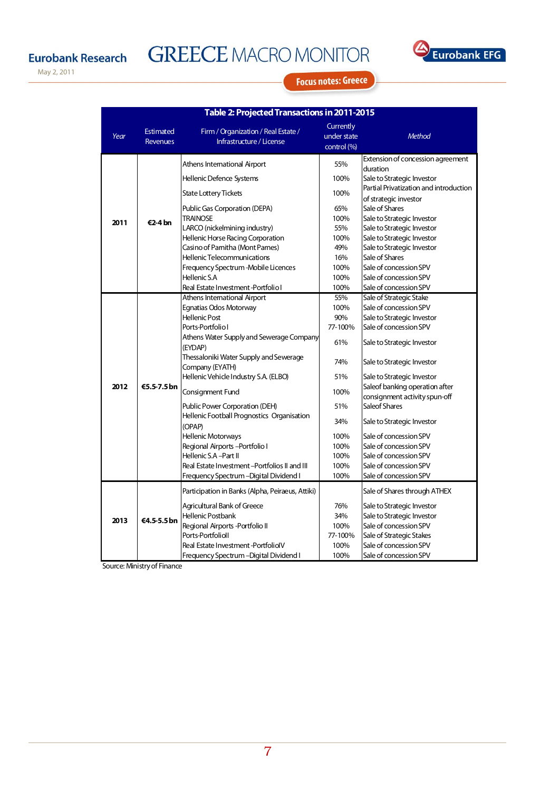# **GREECE MACRO MONITOR**



May 2, 2011

### **Focus notes: Greece**

| Table 2: Projected Transactions in 2011-2015 |                                     |                                                                 |                                         |                                                                 |  |  |
|----------------------------------------------|-------------------------------------|-----------------------------------------------------------------|-----------------------------------------|-----------------------------------------------------------------|--|--|
| Year                                         | <b>Estimated</b><br><b>Revenues</b> | Firm / Organization / Real Estate /<br>Infrastructure / License | Currently<br>under state<br>control (%) | <b>Method</b>                                                   |  |  |
|                                              |                                     | Athens International Airport                                    | 55%                                     | Extension of concession agreement                               |  |  |
|                                              |                                     | Hellenic Defence Systems                                        | 100%                                    | duration<br>Sale to Strategic Investor                          |  |  |
|                                              |                                     | <b>State Lottery Tickets</b>                                    | 100%                                    | Partial Privatization and introduction<br>of strategic investor |  |  |
| 2011                                         |                                     | Public Gas Corporation (DEPA)                                   | 65%                                     | Sale of Shares                                                  |  |  |
|                                              | €2-4 bn                             | <b>TRAINOSE</b>                                                 | 100%                                    | Sale to Strategic Investor                                      |  |  |
|                                              |                                     | LARCO (nickelmining industry)                                   | 55%                                     | Sale to Strategic Investor                                      |  |  |
|                                              |                                     | Hellenic Horse Racing Corporation                               | 100%                                    | Sale to Strategic Investor                                      |  |  |
|                                              |                                     | Casino of Parnitha (Mont Parnes)                                | 49%                                     | Sale to Strategic Investor                                      |  |  |
|                                              |                                     | Hellenic Telecommunications                                     | 16%                                     | Sale of Shares                                                  |  |  |
|                                              |                                     | Frequency Spectrum -Mobile Licences                             | 100%                                    | Sale of concession SPV                                          |  |  |
|                                              |                                     | Hellenic S.A                                                    | 100%                                    | Sale of concession SPV                                          |  |  |
|                                              |                                     | Real Estate Investment -Portfolio I                             | 100%                                    | Sale of concession SPV                                          |  |  |
|                                              | €5.5-7.5 bn                         | Athens International Airport                                    | 55%                                     | Sale of Strategic Stake                                         |  |  |
|                                              |                                     | Egnatias Odos Motorway                                          | 100%                                    | Sale of concession SPV                                          |  |  |
|                                              |                                     | <b>Hellenic Post</b>                                            | 90%                                     | Sale to Strategic Investor                                      |  |  |
|                                              |                                     | Ports-Portfolio I                                               | 77-100%                                 | Sale of concession SPV                                          |  |  |
|                                              |                                     | Athens Water Supply and Sewerage Company<br>(EYDAP)             | 61%                                     | Sale to Strategic Investor                                      |  |  |
|                                              |                                     | Thessaloniki Water Supply and Sewerage<br>Company (EYATH)       | 74%                                     | Sale to Strategic Investor                                      |  |  |
|                                              |                                     | Hellenic Vehicle Industry S.A. (ELBO)                           | 51%                                     | Sale to Strategic Investor                                      |  |  |
| 2012                                         |                                     | Consignment Fund                                                | 100%                                    | Saleof banking operation after<br>consignment activity spun-off |  |  |
|                                              |                                     | Public Power Corporation (DEH)                                  | 51%                                     | Saleof Shares                                                   |  |  |
|                                              |                                     | Hellenic Football Prognostics Organisation<br>(OPAP)            | 34%                                     | Sale to Strategic Investor                                      |  |  |
|                                              |                                     | <b>Hellenic Motorways</b>                                       | 100%                                    | Sale of concession SPV                                          |  |  |
|                                              |                                     | Regional Airports-Portfolio I                                   | 100%                                    | Sale of concession SPV                                          |  |  |
|                                              |                                     | Hellenic S.A -Part II                                           | 100%                                    | Sale of concession SPV                                          |  |  |
|                                              |                                     | Real Estate Investment -Portfolios II and III                   | 100%                                    | Sale of concession SPV                                          |  |  |
|                                              |                                     | Frequency Spectrum –Digital Dividend I                          | 100%                                    | Sale of concession SPV                                          |  |  |
|                                              | €4.5-5.5 bn                         | Participation in Banks (Alpha, Peiraeus, Attiki)                |                                         | Sale of Shares through ATHEX                                    |  |  |
|                                              |                                     | Agricultural Bank of Greece                                     | 76%                                     | Sale to Strategic Investor                                      |  |  |
|                                              |                                     | Hellenic Postbank                                               | 34%                                     | Sale to Strategic Investor                                      |  |  |
| 2013                                         |                                     | Regional Airports - Portfolio II                                | 100%                                    | Sale of concession SPV                                          |  |  |
|                                              |                                     | Ports-Portfolioll                                               | 77-100%                                 | Sale of Strategic Stakes                                        |  |  |
|                                              |                                     | Real Estate Investment-PortfoliolV                              | 100%                                    | Sale of concession SPV                                          |  |  |
|                                              |                                     | Frequency Spectrum - Digital Dividend I                         | 100%                                    | Sale of concession SPV                                          |  |  |

## Source: Ministry of Finance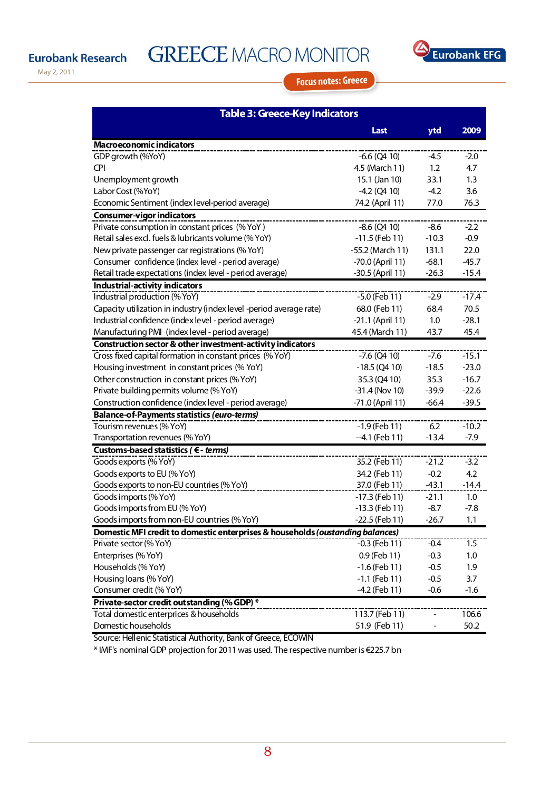**GREECE MACRO MONITOR** 



May 2, 2011

## **Focus notes: Greece**

| <b>Table 3: Greece-Key Indicators</b>                                          |                  |         |         |  |  |  |
|--------------------------------------------------------------------------------|------------------|---------|---------|--|--|--|
|                                                                                | Last             | ytd     | 2009    |  |  |  |
| <b>Macroeconomic indicators</b>                                                |                  |         |         |  |  |  |
| GDP growth (%YoY)                                                              | $-6.6$ (Q4 10)   | -4.5    | $-2.0$  |  |  |  |
| <b>CPI</b>                                                                     | 4.5 (March 11)   | 1.2     | 4.7     |  |  |  |
| Unemployment growth                                                            | 15.1 (Jan 10)    | 33.1    | 1.3     |  |  |  |
| Labor Cost (%YoY)                                                              | $-4.2$ (Q4 10)   | $-4.2$  | 3.6     |  |  |  |
| Economic Sentiment (index level-period average)                                | 74.2 (April 11)  | 77.0    | 76.3    |  |  |  |
| <b>Consumer-vigor indicators</b>                                               |                  |         |         |  |  |  |
| Private consumption in constant prices (% YoY)                                 | $-8.6$ (Q4 10)   | $-8.6$  | $-2.2$  |  |  |  |
| Retail sales excl. fuels & lubricants volume (% YoY)                           | $-11.5$ (Feb 11) | $-10.3$ | $-0.9$  |  |  |  |
| New private passenger car registrations (% YoY)                                | -55.2 (March 11) | 131.1   | 22.0    |  |  |  |
| Consumer confidence (index level - period average)                             | -70.0 (April 11) | $-68.1$ | $-45.7$ |  |  |  |
| Retail trade expectations (index level - period average)                       | -30.5 (April 11) | $-26.3$ | $-15.4$ |  |  |  |
| Industrial-activity indicators                                                 |                  |         |         |  |  |  |
| Industrial production (% YoY)                                                  | -5.0 (Feb 11)    | $-2.9$  | $-17.4$ |  |  |  |
| Capacity utilization in industry (index level -period average rate)            | 68.0 (Feb 11)    | 68.4    | 70.5    |  |  |  |
| Industrial confidence (index level - period average)                           | -21.1 (April 11) | 1.0     | $-28.1$ |  |  |  |
| Manufacturing PMI (index level - period average)                               | 45.4 (March 11)  | 43.7    | 45.4    |  |  |  |
| Construction sector & other investment-activity indicators                     |                  |         |         |  |  |  |
| Cross fixed capital formation in constant prices (% YoY)                       | $-7.6$ (Q4 10)   | $-7.6$  | $-15.1$ |  |  |  |
| Housing investment in constant prices (% YoY)                                  | $-18.5$ (Q4 10)  | $-18.5$ | $-23.0$ |  |  |  |
| Other construction in constant prices (% YoY)                                  | 35.3 (Q4 10)     | 35.3    | $-16.7$ |  |  |  |
| Private building permits volume (% YoY)                                        | $-31.4$ (Nov 10) | $-39.9$ | $-22.6$ |  |  |  |
| Construction confidence (index level - period average)                         | -71.0 (April 11) | $-66.4$ | $-39.5$ |  |  |  |
| <b>Balance-of-Payments statistics (euro-terms)</b>                             |                  |         |         |  |  |  |
| Tourism revenues (% YoY)                                                       | $-1.9$ (Feb 11)  | 6.2     | $-10.2$ |  |  |  |
| Transportation revenues (% YoY)                                                | $-4.1$ (Feb 11)  | $-13.4$ | $-7.9$  |  |  |  |
| Customs-based statistics ( € - terms)                                          |                  |         |         |  |  |  |
| Goods exports (% YoY)                                                          | 35.2 (Feb 11)    | $-21.2$ | $-3.2$  |  |  |  |
| Goods exports to EU (% YoY)                                                    | 34.2 (Feb 11)    | $-0.2$  | 4.2     |  |  |  |
| Goods exports to non-EU countries (% YoY)                                      | 37.0 (Feb 11)    | $-43.1$ | $-14.4$ |  |  |  |
| Goods imports (% YoY)                                                          | $-17.3$ (Feb 11) | $-21.1$ | 1.0     |  |  |  |
| Goods imports from EU (% YoY)                                                  | $-13.3$ (Feb 11) | $-8.7$  | $-7.8$  |  |  |  |
| Goods imports from non-EU countries (% YoY)                                    | -22.5 (Feb 11)   | $-26.7$ | 1.1     |  |  |  |
| Domestic MFI credit to domestic enterprises & households (oustanding balances) |                  |         |         |  |  |  |
| Private sector (% YoY)                                                         | $-0.3$ (Feb 11)  | $-0.4$  | 1.5     |  |  |  |
| Enterprises (% YoY)                                                            | 0.9 (Feb 11)     | $-0.3$  | 1.0     |  |  |  |
| Households (% YoY)                                                             | $-1.6$ (Feb 11)  | $-0.5$  | 1.9     |  |  |  |
| Housing loans (% YoY)                                                          | $-1.1$ (Feb 11)  | $-0.5$  | 3.7     |  |  |  |
| Consumer credit (% YoY)                                                        | -4.2 (Feb 11)    | $-0.6$  | $-1.6$  |  |  |  |
| Private-sector credit out standing (% GDP) *                                   |                  |         |         |  |  |  |
| Total domestic enterprices & households                                        | 113.7 (Feb 11)   |         | 106.6   |  |  |  |
| Domestic households                                                            | 51.9 (Feb 11)    |         | 50.2    |  |  |  |

Source: Hellenic Statistical Authority, Bank of Greece, ECOWIN

\* IMF's nominal GDP projection for 2011 was used. The respective number is €225.7 bn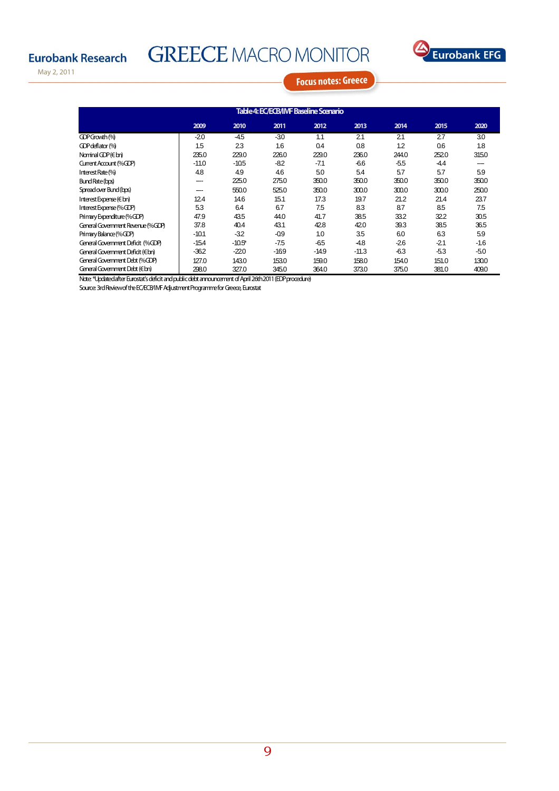# **GREECE MACRO MONITOR**



May 2, 2011

**Focus notes: Greece** 

| Table 4: EC/ECB/IMF Baseline Scenario |         |           |        |         |         |        |       |        |
|---------------------------------------|---------|-----------|--------|---------|---------|--------|-------|--------|
|                                       | 2009    | 2010      | 2011   | 2012    | 2013    | 2014   | 2015  | 2020   |
| GDPGrowth <sup>(%)</sup>              | $-20$   | $-45$     | -30    | 1.1     | 21      | 21     | 27    | 30     |
| GDP deflator (%)                      | 1.5     | 23        | 1.6    | 0.4     | 0.8     | 1.2    | 0.6   | 1.8    |
| Nominal GDP ( $\in$ bn)               | 235.0   | 229.0     | 226.0  | 229.0   | 236.0   | 244.0  | 252.0 | 315.0  |
| Current Account (%GDP)                | $-11.0$ | $-105$    | $-82$  | $-7.1$  | $-66$   | $-5.5$ | -44   | ---    |
| Interest Rate (%)                     | 4.8     | 4.9       | 4.6    | 5.0     | 5.4     | 5.7    | 5.7   | 5.9    |
| Bund Rate (bps)                       | ---     | 225.0     | 275.0  | 350.0   | 350.0   | 350.0  | 350.0 | 350.0  |
| Spread over Bund (bps)                |         | 550.0     | 525.0  | 350.0   | 300.0   | 300.0  | 300.0 | 250.0  |
| Interest Expense (€ bn)               | 124     | 14.6      | 15.1   | 17.3    | 19.7    | 21.2   | 21.4  | 23.7   |
| Interest Expense (%GDP)               | 53      | 6.4       | 6.7    | 7.5     | 83      | 8.7    | 8.5   | 7.5    |
| Primary Expenditure (%GDP)            | 47.9    | 43.5      | 44.0   | 41.7    | 38.5    | 33.2   | 32.2  | 30.5   |
| General Government Revenue (%GDP)     | 37.8    | 40.4      | 43.1   | 42.8    | 42.0    | 39.3   | 38.5  | 36.5   |
| Primary Balance (%GDP)                | $-10.1$ | $-32$     | $-0.9$ | 1.0     | 35      | 6.0    | 63    | 5.9    |
| General Government Deficit (%CDP)     | $-15.4$ | $-10.5$ * | $-7.5$ | $-65$   | $-4.8$  | $-26$  | $-21$ | $-1.6$ |
| General Government Deficit (€ bn)     | $-362$  | $-220$    | $-169$ | $-14.9$ | $-11.3$ | $-6.3$ | $-53$ | $-50$  |
| General Government Debt (%GDP)        | 127.0   | 143.0     | 153.0  | 159.0   | 158.0   | 154.0  | 151.0 | 130.0  |
| General Government Debt (€bn)         | 298.0   | 327.0     | 345.0  | 364.0   | 373.0   | 375.0  | 381.0 | 409.0  |

Note: \*Updated after Eurostat's deficit and public debt announcement of April 26th 2011 (EDP procedure)

Source: 3rd Review of the EC/ECB/IMF Adjustment Programme for Greece, Eurostat